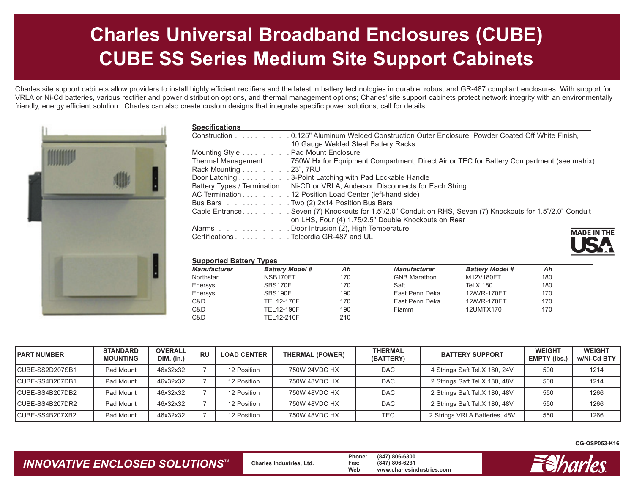# **Charles Universal Broadband Enclosures (CUBE) CUBE SS Series Medium Site Support Cabinets**

Charles site support cabinets allow providers to install highly efficient rectifiers and the latest in battery technologies in durable, robust and GR-487 compliant enclosures. With support for VRLA or Ni-Cd batteries, various rectifier and power distribution options, and thermal management options; Charles' site support cabinets protect network integrity with an environmentally friendly, energy efficient solution. Charles can also create custom designs that integrate specific power solutions, call for details.



| <b>Specifications</b>                                                                                         |                |
|---------------------------------------------------------------------------------------------------------------|----------------|
| Construction 0.125" Aluminum Welded Construction Outer Enclosure, Powder Coated Off White Finish,             |                |
| 10 Gauge Welded Steel Battery Racks                                                                           |                |
| Mounting Style  Pad Mount Enclosure                                                                           |                |
| Thermal Management. 750W Hx for Equipment Compartment, Direct Air or TEC for Battery Compartment (see matrix) |                |
| Rack Mounting  23", 7RU                                                                                       |                |
| Door Latching 3-Point Latching with Pad Lockable Handle                                                       |                |
| Battery Types / Termination Ni-CD or VRLA, Anderson Disconnects for Each String                               |                |
| AC Termination 12 Position Load Center (left-hand side)                                                       |                |
| Bus Bars Two (2) 2x14 Position Bus Bars                                                                       |                |
| Cable Entrance Seven (7) Knockouts for 1.5"/2.0" Conduit on RHS, Seven (7) Knockouts for 1.5"/2.0" Conduit    |                |
| on LHS, Four (4) 1.75/2.5" Double Knockouts on Rear                                                           |                |
|                                                                                                               | <b>MADE IN</b> |
| Certifications Telcordia GR-487 and UL                                                                        |                |

#### **Supported Battery Types**

| <b>OUPPULIEU DALIEI Y TYPES</b> |     |                     |                        |     |  |  |  |  |
|---------------------------------|-----|---------------------|------------------------|-----|--|--|--|--|
| <b>Battery Model #</b>          | Ah  | <b>Manufacturer</b> | <b>Battery Model #</b> | Ah  |  |  |  |  |
| NSB170FT                        | 170 | <b>GNB Marathon</b> | M12V180FT              | 180 |  |  |  |  |
| SBS170F                         | 170 | Saft                | Tel.X 180              | 180 |  |  |  |  |
| SBS190F                         | 190 | East Penn Deka      | 12AVR-170ET            | 170 |  |  |  |  |
| TEL12-170F                      | 170 | East Penn Deka      | 12AVR-170ET            | 170 |  |  |  |  |
| <b>TEL12-190F</b>               | 190 | <b>Fiamm</b>        | 12UMTX170              | 170 |  |  |  |  |
| TEL12-210F                      | 210 |                     |                        |     |  |  |  |  |
|                                 |     |                     |                        |     |  |  |  |  |

| <b>PART NUMBER</b> | <b>STANDARD</b><br><b>MOUNTING</b> | <b>OVERALL</b><br><b>DIM.</b> (in.) | <b>RU</b> | <b>LOAD CENTER</b> | <b>THERMAL (POWER)</b> | <b>THERMAL</b><br><b>BATTERY SUPPORT</b><br>(BATTERY) |                               | <b>WEIGHT</b><br><b>EMPTY (Ibs.</b> | <b>WEIGHT</b><br>w/Ni-Cd BTY |
|--------------------|------------------------------------|-------------------------------------|-----------|--------------------|------------------------|-------------------------------------------------------|-------------------------------|-------------------------------------|------------------------------|
| CUBE-SS2D207SB1    | Pad Mount                          | 46x32x32                            |           | 12 Position        | 750W 24VDC HX          | <b>DAC</b>                                            | 4 Strings Saft Tel.X 180, 24V | 500                                 | 1214                         |
| CUBE-SS4B207DB1    | Pad Mount                          | 46x32x32                            |           | 12 Position        | 750W 48VDC HX          | <b>DAC</b>                                            | 2 Strings Saft Tel.X 180, 48V | 500                                 | 1214                         |
| CUBE-SS4B207DB2    | Pad Mount                          | 46x32x32                            |           | 12 Position        | 750W 48VDC HX          | <b>DAC</b>                                            | 2 Strings Saft Tel.X 180, 48V | 550                                 | 1266                         |
| CUBE-SS4B207DR2    | Pad Mount                          | 46x32x32                            |           | 12 Position        | 750W 48VDC HX          | <b>DAC</b>                                            | 2 Strings Saft Tel.X 180, 48V | 550                                 | 1266                         |
| CUBE-SS4B207XB2    | Pad Mount                          | 46x32x32                            |           | 12 Position        | 750W 48VDC HX          | TEC                                                   | 2 Strings VRLA Batteries, 48V | 550                                 | 1266                         |

**OG-OSP053-K16**

**THE** 

### *INNOVATIVE ENCLOSED SOLUTIONS ™*

 **Charles Industries, Ltd. Phone: (847) 806-6300 Fax: (847) 806-6231 Web: www.charlesindustries.com**

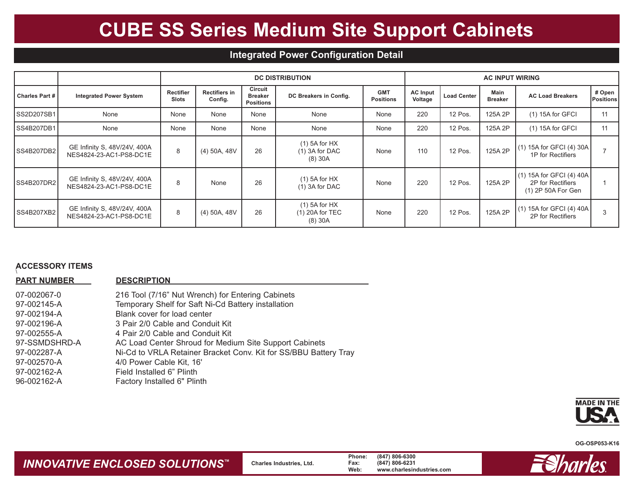# **CUBE SS Series Medium Site Support Cabinets**

## **Integrated Power Configuration Detail**

|                       |                                                         |                           |                                 | <b>DC DISTRIBUTION</b>                        | <b>AC INPUT WIRING</b>                           |                                |                            |                    |                        |                                                                       |                     |
|-----------------------|---------------------------------------------------------|---------------------------|---------------------------------|-----------------------------------------------|--------------------------------------------------|--------------------------------|----------------------------|--------------------|------------------------|-----------------------------------------------------------------------|---------------------|
| <b>Charles Part #</b> | <b>Integrated Power System</b>                          | Rectifier<br><b>Slots</b> | <b>Rectifiers in</b><br>Config. | Circuit<br><b>Breaker</b><br><b>Positions</b> | DC Breakers in Config.                           | <b>GMT</b><br><b>Positions</b> | <b>AC Input</b><br>Voltage | <b>Load Center</b> | Main<br><b>Breaker</b> | <b>AC Load Breakers</b>                                               | # Open<br>Positions |
| SS2D207SB1            | None                                                    | None                      | None                            | None                                          | None                                             | None                           | 220                        | 12 Pos.            | 125A 2P                | $(1)$ 15A for GFCI                                                    | 11                  |
| SS4B207DB1            | None                                                    | None                      | None                            | None                                          | None                                             | None                           | 220                        | 12 Pos.            | 125A 2P                | $(1)$ 15A for GFCI                                                    | 11                  |
| SS4B207DB2            | GE Infinity S, 48V/24V, 400A<br>NES4824-23-AC1-PS8-DC1E | 8                         | (4) 50A, 48V                    | 26                                            | $(1)$ 5A for HX<br>$(1)$ 3A for DAC<br>$(8)$ 30A | None                           | 110                        | 12 Pos.            | 125A 2P                | (1) 15A for GFCI (4) 30A<br>1P for Rectifiers                         |                     |
| SS4B207DR2            | GE Infinity S, 48V/24V, 400A<br>NES4824-23-AC1-PS8-DC1E | 8                         | None                            | 26                                            | $(1)$ 5A for HX<br>$(1)$ 3A for DAC              | None                           | 220                        | 12 Pos.            | 125A 2P                | $(1)$ 15A for GFCI (4) 40A<br>2P for Rectifiers<br>(1) 2P 50A For Gen |                     |
| <b>SS4B207XB2</b>     | GE Infinity S, 48V/24V, 400A<br>NES4824-23-AC1-PS8-DC1E | 8                         | (4) 50A, 48V                    | 26                                            | $(1)$ 5A for HX<br>$(1)$ 20A for TEC<br>(8) 30A  | None                           | 220                        | 12 Pos.            | 125A 2P                | $(1)$ 15A for GFCI (4) 40A<br>2P for Rectifiers                       | 3                   |

### **ACCESSORY ITEMS** \

| <b>PART NUMBER</b> | <b>DESCRIPTION</b>                                               |
|--------------------|------------------------------------------------------------------|
| 07-002067-0        | 216 Tool (7/16" Nut Wrench) for Entering Cabinets                |
| 97-002145-A        | Temporary Shelf for Saft Ni-Cd Battery installation              |
| 97-002194-A        | Blank cover for load center                                      |
| 97-002196-A        | 3 Pair 2/0 Cable and Conduit Kit                                 |
| 97-002555-A        | 4 Pair 2/0 Cable and Conduit Kit                                 |
| 97-SSMDSHRD-A      | AC Load Center Shroud for Medium Site Support Cabinets           |
| 97-002287-A        | Ni-Cd to VRLA Retainer Bracket Conv. Kit for SS/BBU Battery Tray |
| 97-002570-A        | 4/0 Power Cable Kit, 16'                                         |
| 97-002162-A        | Field Installed 6" Plinth                                        |
| 96-002162-A        | Factory Installed 6" Plinth                                      |
|                    |                                                                  |



**OG-OSP053-K16**

#### *INNOVATIVE ENCLOSED SOLUTIONS ™*

 **Charles Industries, Ltd. Phone: (847) 806-6300 Fax: (847) 806-6231 Web: www.charlesindustries.com**